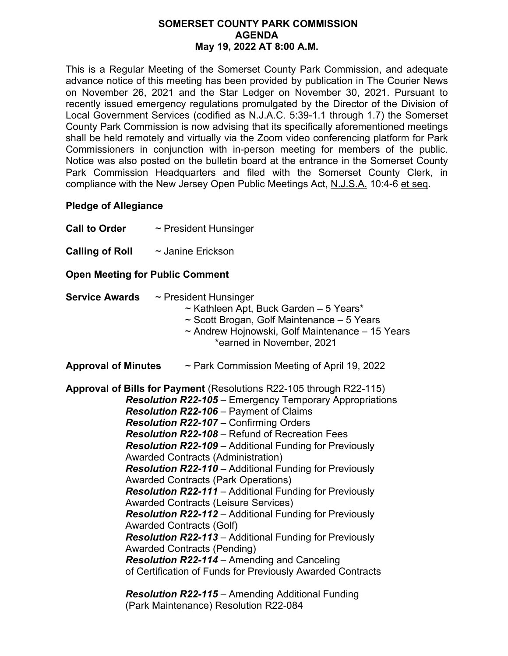## **SOMERSET COUNTY PARK COMMISSION AGENDA May 19, 2022 AT 8:00 A.M.**

This is a Regular Meeting of the Somerset County Park Commission, and adequate advance notice of this meeting has been provided by publication in The Courier News on November 26, 2021 and the Star Ledger on November 30, 2021. Pursuant to recently issued emergency regulations promulgated by the Director of the Division of Local Government Services (codified as N.J.A.C. 5:39-1.1 through 1.7) the Somerset County Park Commission is now advising that its specifically aforementioned meetings shall be held remotely and virtually via the Zoom video conferencing platform for Park Commissioners in conjunction with in-person meeting for members of the public. Notice was also posted on the bulletin board at the entrance in the Somerset County Park Commission Headquarters and filed with the Somerset County Clerk, in compliance with the New Jersey Open Public Meetings Act, N.J.S.A. 10:4-6 et seq.

## **Pledge of Allegiance**

**Call to Order** ~ President Hunsinger

**Calling of Roll**  $\sim$  Janine Erickson

## **Open Meeting for Public Comment**

- **Service Awards** ~ President Hunsinger ~ Kathleen Apt, Buck Garden – 5 Years\*
	- ~ Scott Brogan, Golf Maintenance 5 Years
	- ~ Andrew Hojnowski, Golf Maintenance 15 Years \*earned in November, 2021
- **Approval of Minutes** ~ Park Commission Meeting of April 19, 2022

**Approval of Bills for Payment** (Resolutions R22-105 through R22-115) *Resolution R22-105* – Emergency Temporary Appropriations *Resolution R22-106* – Payment of Claims *Resolution R22-107* – Confirming Orders *Resolution R22-108* – Refund of Recreation Fees *Resolution R22-109* – Additional Funding for Previously Awarded Contracts (Administration) *Resolution R22-110* – Additional Funding for Previously Awarded Contracts (Park Operations) *Resolution R22-111* – Additional Funding for Previously Awarded Contracts (Leisure Services) *Resolution R22-112* – Additional Funding for Previously Awarded Contracts (Golf) *Resolution R22-113* – Additional Funding for Previously Awarded Contracts (Pending) *Resolution R22-114* – Amending and Canceling of Certification of Funds for Previously Awarded Contracts

*Resolution R22-115* – Amending Additional Funding (Park Maintenance) Resolution R22-084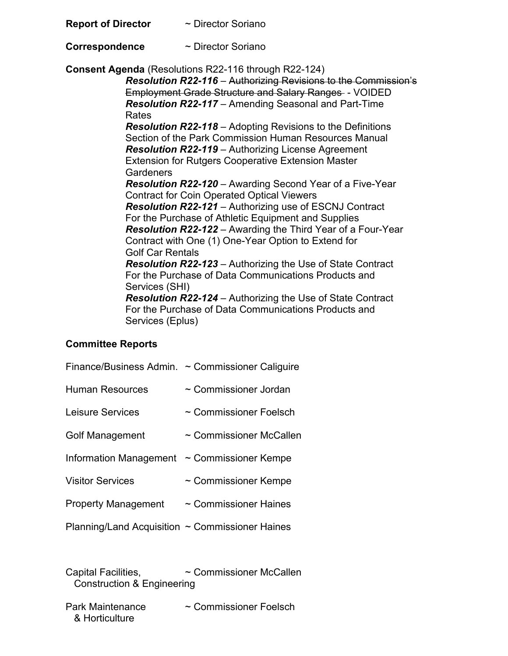| <b>Report of Director</b> | $\sim$ Director Soriano |
|---------------------------|-------------------------|
|---------------------------|-------------------------|

**Correspondence** ~ Director Soriano

**Consent Agenda** (Resolutions R22-116 through R22-124)

 *Resolution R22-116* – Authorizing Revisions to the Commission's Employment Grade Structure and Salary Ranges - VOIDED *Resolution R22-117* – Amending Seasonal and Part-Time Rates *Resolution R22-118* – Adopting Revisions to the Definitions Section of the Park Commission Human Resources Manual *Resolution R22-119* – Authorizing License Agreement Extension for Rutgers Cooperative Extension Master **Gardeners**  *Resolution R22-120* – Awarding Second Year of a Five-Year Contract for Coin Operated Optical Viewers *Resolution R22-121* – Authorizing use of ESCNJ Contract For the Purchase of Athletic Equipment and Supplies *Resolution R22-122* – Awarding the Third Year of a Four-Year Contract with One (1) One-Year Option to Extend for Golf Car Rentals *Resolution R22-123* – Authorizing the Use of State Contract For the Purchase of Data Communications Products and Services (SHI) *Resolution R22-124* – Authorizing the Use of State Contract For the Purchase of Data Communications Products and Services (Eplus)

## **Committee Reports**

| Finance/Business Admin.                              | $\sim$ Commissioner Caliguire |
|------------------------------------------------------|-------------------------------|
| <b>Human Resources</b>                               | $\sim$ Commissioner Jordan    |
| Leisure Services                                     | $\sim$ Commissioner Foelsch   |
| <b>Golf Management</b>                               | $\sim$ Commissioner McCallen  |
| Information Management                               | $\sim$ Commissioner Kempe     |
| <b>Visitor Services</b>                              | ~ Commissioner Kempe          |
| <b>Property Management</b>                           | $\sim$ Commissioner Haines    |
| Planning/Land Acquisition $\sim$ Commissioner Haines |                               |

Capital Facilities, ~ Commissioner McCallen Construction & Engineering

Park Maintenance  $\sim$  Commissioner Foelsch & Horticulture